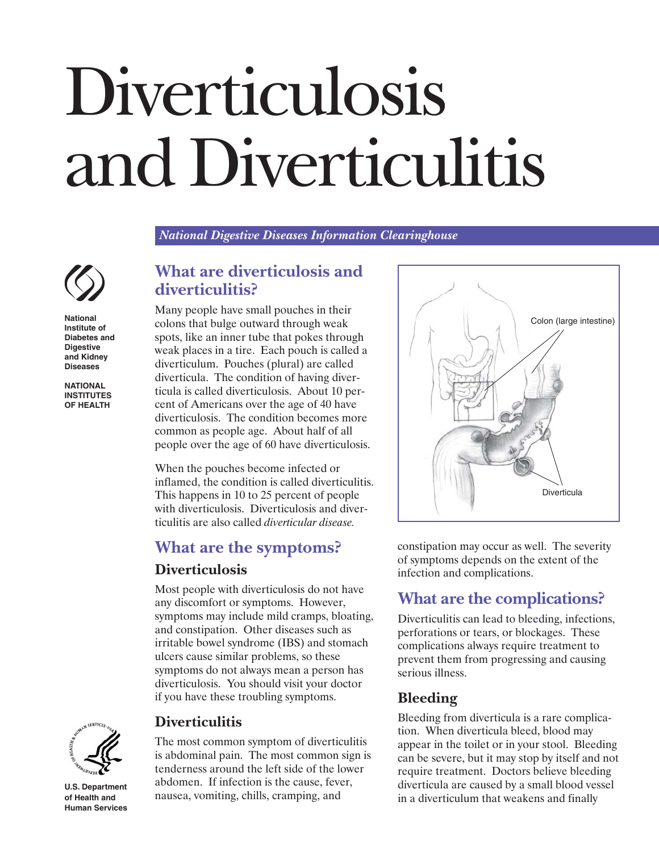# Diverticulosis and Diverticulitis

*National Digestive Diseases Information Clearinghouse*



**National Institute of Diabetes and Digestive and Kidney Diseases** 

**NATIONAL INSTITUTES OF HEALTH** 

## **What are diverticulosis and diverticulitis?**

Many people have small pouches in their colons that bulge outward through weak spots, like an inner tube that pokes through weak places in a tire. Each pouch is called a diverticulum. Pouches (plural) are called diverticula. The condition of having diverticula is called diverticulosis. About 10 percent of Americans over the age of 40 have diverticulosis. The condition becomes more common as people age. About half of all people over the age of 60 have diverticulosis.

When the pouches become infected or inflamed, the condition is called diverticulitis. This happens in 10 to 25 percent of people with diverticulosis. Diverticulosis and diverticulitis are also called *diverticular disease.* 

## **What are the symptoms?**

## **Diverticulosis**

Most people with diverticulosis do not have any discomfort or symptoms. However, symptoms may include mild cramps, bloating, and constipation. Other diseases such as irritable bowel syndrome (IBS) and stomach ulcers cause similar problems, so these symptoms do not always mean a person has diverticulosis. You should visit your doctor if you have these troubling symptoms.



**U.S. Department of Health and Human Services** 

#### **Diverticulitis**

The most common symptom of diverticulitis is abdominal pain. The most common sign is tenderness around the left side of the lower abdomen. If infection is the cause, fever, nausea, vomiting, chills, cramping, and



constipation may occur as well. The severity of symptoms depends on the extent of the infection and complications.

## **What are the complications?**

Diverticulitis can lead to bleeding, infections, perforations or tears, or blockages. These complications always require treatment to prevent them from progressing and causing serious illness.

#### **Bleeding**

Bleeding from diverticula is a rare complication. When diverticula bleed, blood may appear in the toilet or in your stool. Bleeding can be severe, but it may stop by itself and not require treatment. Doctors believe bleeding diverticula are caused by a small blood vessel in a diverticulum that weakens and finally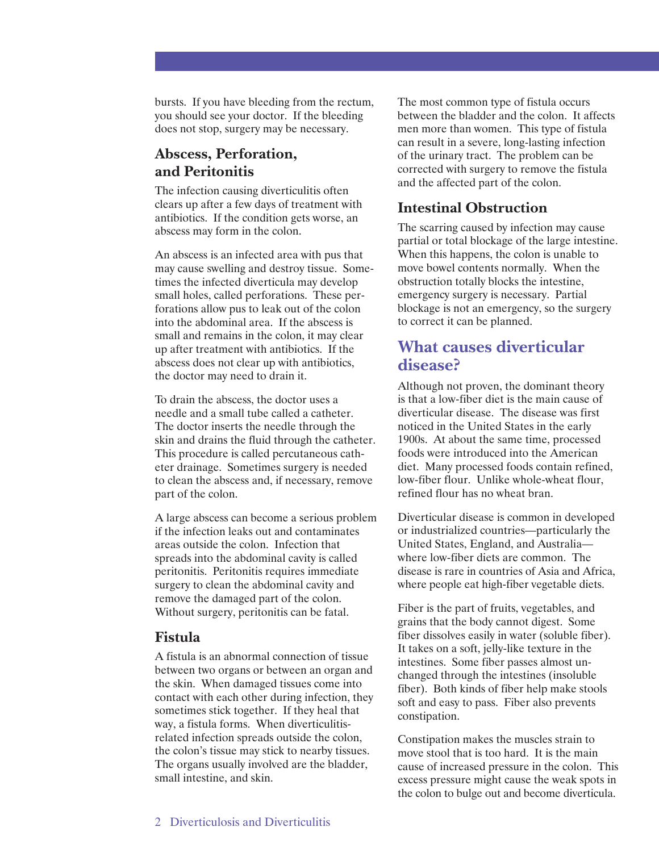bursts. If you have bleeding from the rectum, you should see your doctor. If the bleeding does not stop, surgery may be necessary.

#### **Abscess, Perforation, and Peritonitis**

The infection causing diverticulitis often clears up after a few days of treatment with antibiotics. If the condition gets worse, an abscess may form in the colon.

An abscess is an infected area with pus that may cause swelling and destroy tissue. Sometimes the infected diverticula may develop small holes, called perforations. These perforations allow pus to leak out of the colon into the abdominal area. If the abscess is small and remains in the colon, it may clear up after treatment with antibiotics. If the abscess does not clear up with antibiotics, the doctor may need to drain it.

To drain the abscess, the doctor uses a needle and a small tube called a catheter. The doctor inserts the needle through the skin and drains the fluid through the catheter. This procedure is called percutaneous catheter drainage. Sometimes surgery is needed to clean the abscess and, if necessary, remove part of the colon.

A large abscess can become a serious problem if the infection leaks out and contaminates areas outside the colon. Infection that spreads into the abdominal cavity is called peritonitis. Peritonitis requires immediate surgery to clean the abdominal cavity and remove the damaged part of the colon. Without surgery, peritonitis can be fatal.

#### **Fistula**

A fistula is an abnormal connection of tissue between two organs or between an organ and the skin. When damaged tissues come into contact with each other during infection, they sometimes stick together. If they heal that way, a fistula forms. When diverticulitisrelated infection spreads outside the colon, the colon's tissue may stick to nearby tissues. The organs usually involved are the bladder, small intestine, and skin.

The most common type of fistula occurs between the bladder and the colon. It affects men more than women. This type of fistula can result in a severe, long-lasting infection of the urinary tract. The problem can be corrected with surgery to remove the fistula and the affected part of the colon.

#### **Intestinal Obstruction**

The scarring caused by infection may cause partial or total blockage of the large intestine. When this happens, the colon is unable to move bowel contents normally. When the obstruction totally blocks the intestine, emergency surgery is necessary. Partial blockage is not an emergency, so the surgery to correct it can be planned.

## **What causes diverticular disease?**

Although not proven, the dominant theory is that a low-fiber diet is the main cause of diverticular disease. The disease was first noticed in the United States in the early 1900s. At about the same time, processed foods were introduced into the American diet. Many processed foods contain refined, low-fiber flour. Unlike whole-wheat flour, refined flour has no wheat bran.

Diverticular disease is common in developed or industrialized countries—particularly the United States, England, and Australia where low-fiber diets are common. The disease is rare in countries of Asia and Africa, where people eat high-fiber vegetable diets.

Fiber is the part of fruits, vegetables, and grains that the body cannot digest. Some fiber dissolves easily in water (soluble fiber). It takes on a soft, jelly-like texture in the intestines. Some fiber passes almost unchanged through the intestines (insoluble fiber). Both kinds of fiber help make stools soft and easy to pass. Fiber also prevents constipation.

Constipation makes the muscles strain to move stool that is too hard. It is the main cause of increased pressure in the colon. This excess pressure might cause the weak spots in the colon to bulge out and become diverticula.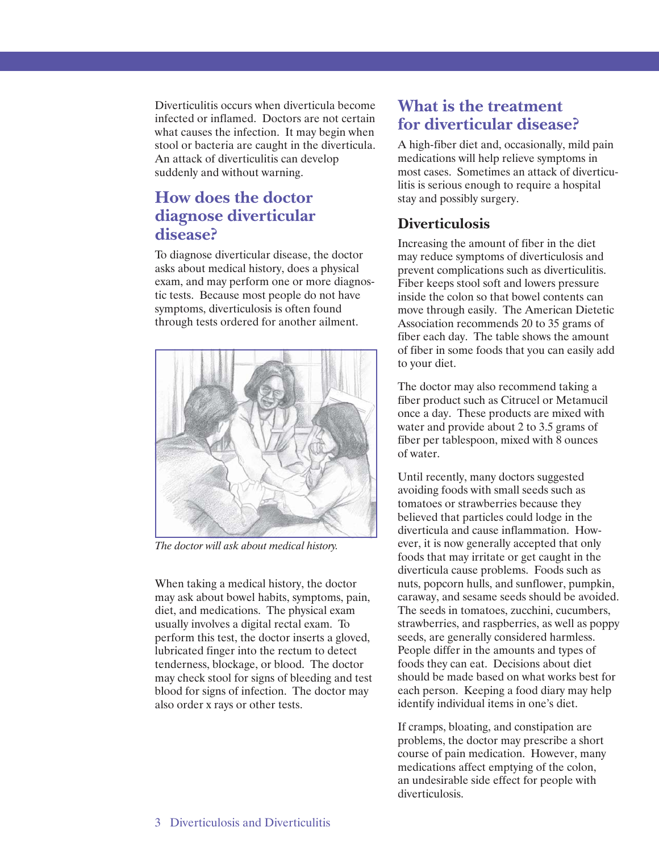Diverticulitis occurs when diverticula become infected or inflamed. Doctors are not certain what causes the infection. It may begin when stool or bacteria are caught in the diverticula. An attack of diverticulitis can develop suddenly and without warning.

## **How does the doctor diagnose diverticular disease?**

To diagnose diverticular disease, the doctor asks about medical history, does a physical exam, and may perform one or more diagnostic tests. Because most people do not have symptoms, diverticulosis is often found through tests ordered for another ailment.



*The doctor will ask about medical history.* 

When taking a medical history, the doctor may ask about bowel habits, symptoms, pain, diet, and medications. The physical exam usually involves a digital rectal exam. To perform this test, the doctor inserts a gloved, lubricated finger into the rectum to detect tenderness, blockage, or blood. The doctor may check stool for signs of bleeding and test blood for signs of infection. The doctor may also order x rays or other tests.

## **What is the treatment for diverticular disease?**

A high-fiber diet and, occasionally, mild pain medications will help relieve symptoms in most cases. Sometimes an attack of diverticulitis is serious enough to require a hospital stay and possibly surgery.

### **Diverticulosis**

Increasing the amount of fiber in the diet may reduce symptoms of diverticulosis and prevent complications such as diverticulitis. Fiber keeps stool soft and lowers pressure inside the colon so that bowel contents can move through easily. The American Dietetic Association recommends 20 to 35 grams of fiber each day. The table shows the amount of fiber in some foods that you can easily add to your diet.

The doctor may also recommend taking a fiber product such as Citrucel or Metamucil once a day. These products are mixed with water and provide about 2 to 3.5 grams of fiber per tablespoon, mixed with 8 ounces of water.

Until recently, many doctors suggested avoiding foods with small seeds such as tomatoes or strawberries because they believed that particles could lodge in the diverticula and cause inflammation. However, it is now generally accepted that only foods that may irritate or get caught in the diverticula cause problems. Foods such as nuts, popcorn hulls, and sunflower, pumpkin, caraway, and sesame seeds should be avoided. The seeds in tomatoes, zucchini, cucumbers, strawberries, and raspberries, as well as poppy seeds, are generally considered harmless. People differ in the amounts and types of foods they can eat. Decisions about diet should be made based on what works best for each person. Keeping a food diary may help identify individual items in one's diet.

If cramps, bloating, and constipation are problems, the doctor may prescribe a short course of pain medication. However, many medications affect emptying of the colon, an undesirable side effect for people with diverticulosis.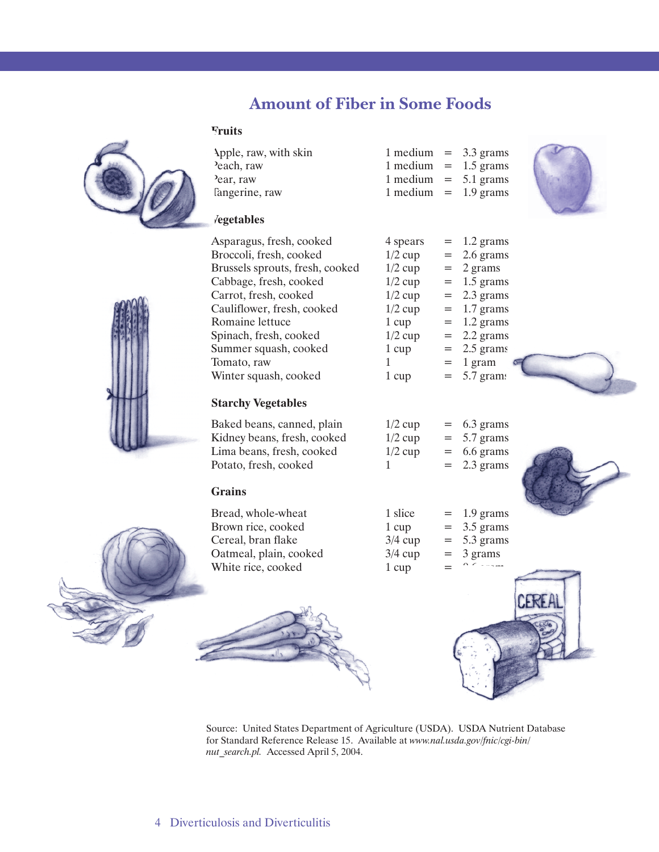## **Amount of Fiber in Some Foods**

#### **Fruits**



| Apple, raw, with skin<br>Peach, raw | $1 \text{ medium} = 3.3 \text{ grams}$<br>$1 \text{ medium} = 1.5 \text{ grams}$ |  |
|-------------------------------------|----------------------------------------------------------------------------------|--|
| Pear, raw                           | $1 \text{ medium} = 5.1 \text{ grams}$                                           |  |
| langerine, raw                      | $1 \text{ medium} = 1.9 \text{ grams}$                                           |  |

#### **Vegetables**

Asparagus, fresh, cooked Broccoli, fresh, cooked Brussels sprouts, fresh, cooked Cabbage, fresh, cooked Carrot, fresh, cooked Cauliflower, fresh, cooked Romaine lettuce Spinach, fresh, cooked Summer squash, cooked Tomato, raw Winter squash, cooked

| 4 spears  | ═   | 1.2 grams   |
|-----------|-----|-------------|
| $1/2$ cup | =   | 2.6 grams   |
| $1/2$ cup | $=$ | 2 grams     |
| $1/2$ cup | =   | $1.5$ grams |
| $1/2$ cup | =   | 2.3 grams   |
| $1/2$ cup | $=$ | 1.7 grams   |
| 1 cup     | =   | 1.2 grams   |
| $1/2$ cup | =   | 2.2 grams   |
| 1 cup     | =   | 2.5 grams   |
| 1         | $=$ | 1 gram      |
| 1 cup     |     | 5.7 grams   |

#### **Starchy Vegetables**

Baked beans, canned, plain Kidney beans, fresh, cooked Lima beans, fresh, cooked Potato, fresh, cooked

#### **Grains**

Bread, whole-wheat Brown rice, cooked Cereal, bran flake Oatmeal, plain, cooked White rice, cooked



| 1 slice   | $=$ | 1.9 grams |
|-----------|-----|-----------|
| 1 cup     | $=$ | 3.5 grams |
| $3/4$ cup | $=$ | 5.3 grams |
| $3/4$ cup | $=$ | 3 grams   |





Source: United States Department of Agriculture (USDA). USDA Nutrient Database for Standard Reference Release 15. Available at *www.nal.usda.gov/fnic/cgi-bin/ nut\_search.pl.* Accessed April 5, 2004.

 $1 cup$ 



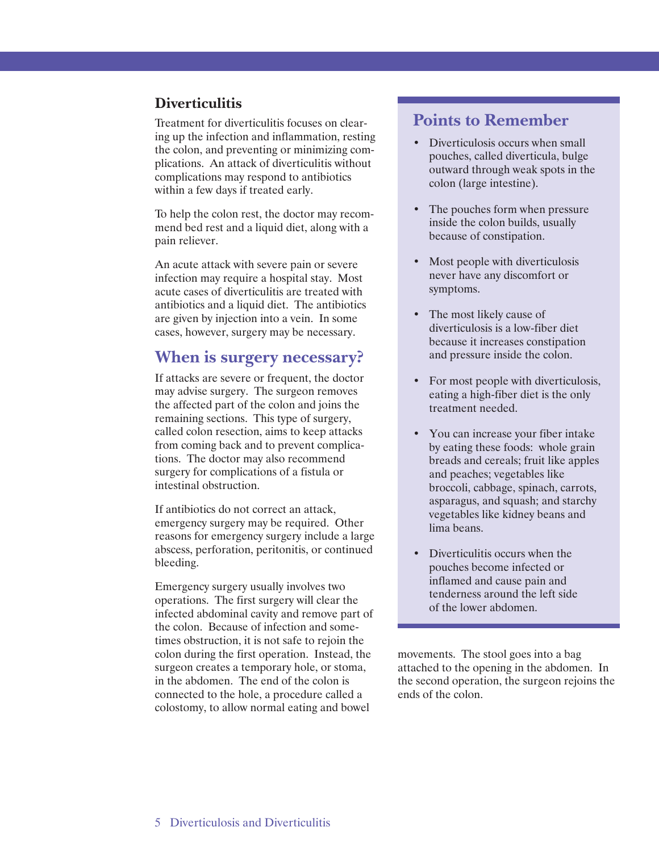#### **Diverticulitis**

Treatment for diverticulitis focuses on clearing up the infection and inflammation, resting the colon, and preventing or minimizing complications. An attack of diverticulitis without complications may respond to antibiotics within a few days if treated early.

To help the colon rest, the doctor may recommend bed rest and a liquid diet, along with a pain reliever.

An acute attack with severe pain or severe infection may require a hospital stay. Most acute cases of diverticulitis are treated with antibiotics and a liquid diet. The antibiotics are given by injection into a vein. In some cases, however, surgery may be necessary.

#### **When is surgery necessary?**

If attacks are severe or frequent, the doctor may advise surgery. The surgeon removes the affected part of the colon and joins the remaining sections. This type of surgery, called colon resection, aims to keep attacks from coming back and to prevent complications. The doctor may also recommend surgery for complications of a fistula or intestinal obstruction.

If antibiotics do not correct an attack, emergency surgery may be required. Other reasons for emergency surgery include a large abscess, perforation, peritonitis, or continued bleeding.

Emergency surgery usually involves two operations. The first surgery will clear the infected abdominal cavity and remove part of the colon. Because of infection and sometimes obstruction, it is not safe to rejoin the colon during the first operation. Instead, the surgeon creates a temporary hole, or stoma, in the abdomen. The end of the colon is connected to the hole, a procedure called a colostomy, to allow normal eating and bowel

### **Points to Remember**

- pouches, called diverticula, bulge outward through weak spots in the colon (large intestine). Diverticulosis occurs when small
- The pouches form when pressure inside the colon builds, usually because of constipation.
- never have any discomfort or symptoms. Most people with diverticulosis
- The most likely cause of diverticulosis is a low-fiber diet because it increases constipation and pressure inside the colon.
- For most people with diverticulosis, eating a high-fiber diet is the only treatment needed.
- by eating these foods: whole grain breads and cereals; fruit like apples and peaches; vegetables like broccoli, cabbage, spinach, carrots, asparagus, and squash; and starchy vegetables like kidney beans and lima beans. You can increase your fiber intake
- Diverticulitis occurs when the pouches become infected or inflamed and cause pain and tenderness around the left side of the lower abdomen.

movements. The stool goes into a bag attached to the opening in the abdomen. In the second operation, the surgeon rejoins the ends of the colon.